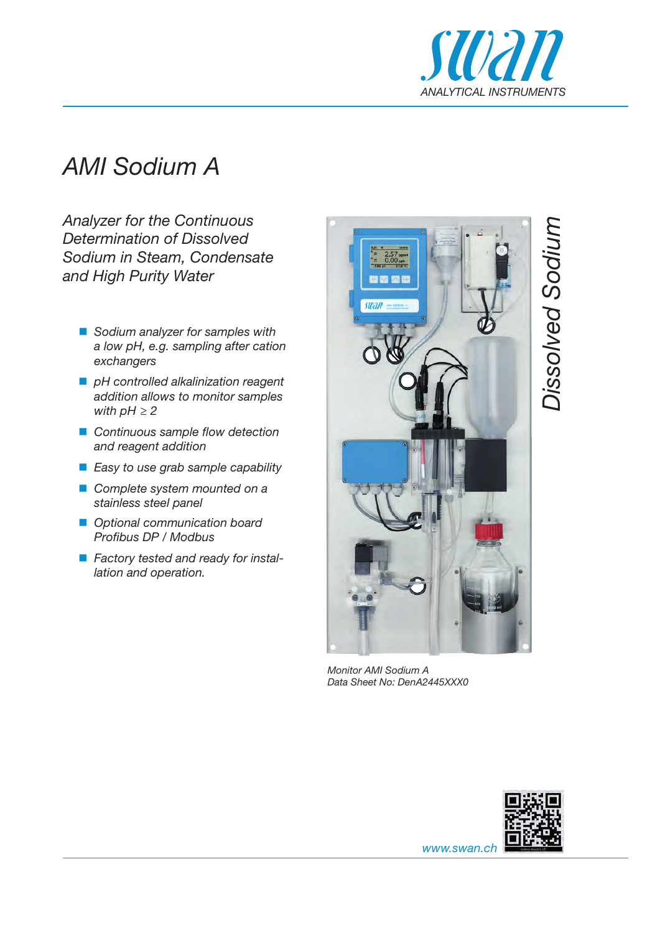

## *AMI Sodium A*

*Analyzer for the Continuous Determination of Dissolved Sodium in Steam, Condensate and High Purity Water*

- *Sodium analyzer for samples with a low pH, e.g. sampling after cation exchangers*
- *pH controlled alkalinization reagent addition allows to monitor samples with pH ≥ 2*
- *Continuous sample flow detection and reagent addition*
- *Easy to use grab sample capability*
- *Complete system mounted on a stainless steel panel*
- *Optional communication board Profibus DP / Modbus*
- *Factory tested and ready for installation and operation.*



*Monitor AMI Sodium A Data Sheet No: DenA2445XXX0*



*www.swan.ch*